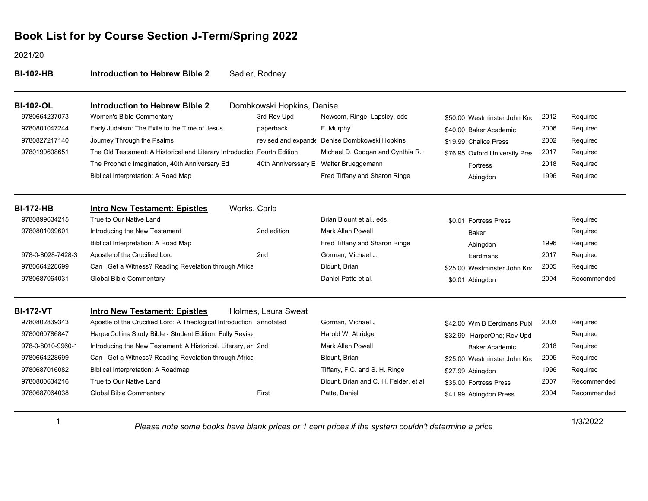2021/20

| <b>BI-102-HB</b>  | <b>Introduction to Hebrew Bible 2</b>                                    | Sadler, Rodney             |                                               |                                |      |             |
|-------------------|--------------------------------------------------------------------------|----------------------------|-----------------------------------------------|--------------------------------|------|-------------|
| <b>BI-102-OL</b>  | <b>Introduction to Hebrew Bible 2</b>                                    | Dombkowski Hopkins, Denise |                                               |                                |      |             |
| 9780664237073     | Women's Bible Commentary                                                 | 3rd Rev Upd                | Newsom, Ringe, Lapsley, eds                   | \$50.00 Westminster John Kno   | 2012 | Required    |
| 9780801047244     | Early Judaism: The Exile to the Time of Jesus                            | paperback                  | F. Murphy                                     | \$40.00 Baker Academic         | 2006 | Required    |
| 9780827217140     | Journey Through the Psalms                                               |                            | revised and expande Denise Dombkowski Hopkins | \$19.99 Chalice Press          | 2002 | Required    |
| 9780190608651     | The Old Testament: A Historical and Literary Introductiol Fourth Edition |                            | Michael D. Coogan and Cynthia R.              | \$76.95 Oxford University Pres | 2017 | Required    |
|                   | The Prophetic Imagination, 40th Anniversary Ed                           |                            | 40th Anniverssary E Walter Brueggemann        | <b>Fortress</b>                | 2018 | Required    |
|                   | Biblical Interpretation: A Road Map                                      |                            | Fred Tiffany and Sharon Ringe                 | Abingdon                       | 1996 | Required    |
| <b>BI-172-HB</b>  | <b>Intro New Testament: Epistles</b>                                     | Works, Carla               |                                               |                                |      |             |
| 9780899634215     | True to Our Native Land                                                  |                            | Brian Blount et al., eds.                     | \$0.01 Fortress Press          |      | Required    |
| 9780801099601     | Introducing the New Testament                                            | 2nd edition                | <b>Mark Allan Powell</b>                      | <b>Baker</b>                   |      | Required    |
|                   | Biblical Interpretation: A Road Map                                      |                            | Fred Tiffany and Sharon Ringe                 | Abingdon                       | 1996 | Required    |
| 978-0-8028-7428-3 | Apostle of the Crucified Lord                                            | 2 <sub>nd</sub>            | Gorman, Michael J.                            | Eerdmans                       | 2017 | Required    |
| 9780664228699     | Can I Get a Witness? Reading Revelation through Africa                   |                            | Blount, Brian                                 | \$25.00 Westminster John Kno   | 2005 | Required    |
| 9780687064031     | <b>Global Bible Commentary</b>                                           |                            | Daniel Patte et al.                           | \$0.01 Abingdon                | 2004 | Recommended |
| <b>BI-172-VT</b>  | <b>Intro New Testament: Epistles</b>                                     | Holmes, Laura Sweat        |                                               |                                |      |             |
| 9780802839343     | Apostle of the Crucified Lord: A Theological Introduction annotated      |                            | Gorman, Michael J                             | \$42.00 Wm B Eerdmans Publ     | 2003 | Required    |
| 9780060786847     | HarperCollins Study Bible - Student Edition: Fully Revise                |                            | Harold W. Attridge                            | \$32.99 HarperOne; Rev Upd     |      | Required    |
| 978-0-8010-9960-1 | Introducing the New Testament: A Historical, Literary, ar 2nd            |                            | <b>Mark Allen Powell</b>                      | <b>Baker Academic</b>          | 2018 | Required    |
| 9780664228699     | Can I Get a Witness? Reading Revelation through Africa                   |                            | Blount, Brian                                 | \$25.00 Westminster John Kno   | 2005 | Required    |
| 9780687016082     | Biblical Interpretation: A Roadmap                                       |                            | Tiffany, F.C. and S. H. Ringe                 | \$27.99 Abingdon               | 1996 | Required    |
| 9780800634216     | True to Our Native Land                                                  |                            | Blount, Brian and C. H. Felder, et al         | \$35.00 Fortress Press         | 2007 | Recommended |
| 9780687064038     | <b>Global Bible Commentary</b>                                           | First                      | Patte, Daniel                                 | \$41.99 Abingdon Press         | 2004 | Recommended |

1/3/2022 *Please note some books have blank prices or 1 cent prices if the system couldn't determine a price*

1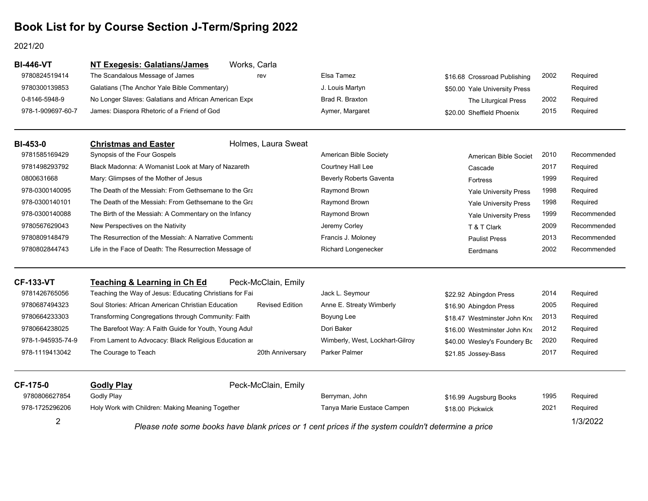#### 2021/20

| <b>BI-446-VT</b>  | <b>NT Exegesis: Galatians/James</b>                     | Works, Carla           |                                                                                                    |                               |      |             |
|-------------------|---------------------------------------------------------|------------------------|----------------------------------------------------------------------------------------------------|-------------------------------|------|-------------|
| 9780824519414     | The Scandalous Message of James                         | rev                    | Elsa Tamez                                                                                         | \$16.68 Crossroad Publishing  | 2002 | Required    |
| 9780300139853     | Galatians (The Anchor Yale Bible Commentary)            |                        | J. Louis Martyn                                                                                    | \$50.00 Yale University Press |      | Required    |
| 0-8146-5948-9     | No Longer Slaves: Galatians and African American Expe   |                        | Brad R. Braxton                                                                                    | The Liturgical Press          | 2002 | Required    |
| 978-1-909697-60-7 | James: Diaspora Rhetoric of a Friend of God             |                        | Aymer, Margaret                                                                                    | \$20.00 Sheffield Phoenix     | 2015 | Required    |
| <b>BI-453-0</b>   | <b>Christmas and Easter</b>                             | Holmes, Laura Sweat    |                                                                                                    |                               |      |             |
| 9781585169429     | Synopsis of the Four Gospels                            |                        | American Bible Society                                                                             | American Bible Societ         | 2010 | Recommended |
| 9781498293792     | Black Madonna: A Womanist Look at Mary of Nazareth      |                        | Courtney Hall Lee                                                                                  | Cascade                       | 2017 | Required    |
| 0800631668        | Mary: Glimpses of the Mother of Jesus                   |                        | Beverly Roberts Gaventa                                                                            | Fortress                      | 1999 | Required    |
| 978-0300140095    | The Death of the Messiah: From Gethsemane to the Gra    |                        | Raymond Brown                                                                                      | <b>Yale University Press</b>  | 1998 | Required    |
| 978-0300140101    | The Death of the Messiah: From Gethsemane to the Gra    |                        | Raymond Brown                                                                                      | <b>Yale University Press</b>  | 1998 | Required    |
| 978-0300140088    | The Birth of the Messiah: A Commentary on the Infancy   |                        | Raymond Brown                                                                                      | Yale University Press         | 1999 | Recommended |
| 9780567629043     | New Perspectives on the Nativity                        |                        | Jeremy Corley                                                                                      | T & T Clark                   | 2009 | Recommended |
| 9780809148479     | The Resurrection of the Messiah: A Narrative Commenta   |                        | Francis J. Moloney                                                                                 | <b>Paulist Press</b>          | 2013 | Recommended |
| 9780802844743     | Life in the Face of Death: The Resurrection Message of  |                        | <b>Richard Longenecker</b>                                                                         | Eerdmans                      | 2002 | Recommended |
| <b>CF-133-VT</b>  | <b>Teaching &amp; Learning in Ch Ed</b>                 | Peck-McClain, Emily    |                                                                                                    |                               |      |             |
| 9781426765056     | Teaching the Way of Jesus: Educating Christians for Fai |                        | Jack L. Seymour                                                                                    | \$22.92 Abingdon Press        | 2014 | Required    |
| 9780687494323     | Soul Stories: African American Christian Education      | <b>Revised Edition</b> | Anne E. Streaty Wimberly                                                                           | \$16.90 Abingdon Press        | 2005 | Required    |
| 9780664233303     | Transforming Congregations through Community: Faith     |                        | Boyung Lee                                                                                         | \$18.47 Westminster John Kno  | 2013 | Required    |
| 9780664238025     | The Barefoot Way: A Faith Guide for Youth, Young Adult  |                        | Dori Baker                                                                                         | \$16.00 Westminster John Kno  | 2012 | Required    |
| 978-1-945935-74-9 | From Lament to Advocacy: Black Religious Education ar   |                        | Wimberly, West, Lockhart-Gilroy                                                                    | \$40.00 Wesley's Foundery Bc  | 2020 | Required    |
| 978-1119413042    | The Courage to Teach                                    | 20th Anniversary       | <b>Parker Palmer</b>                                                                               | \$21.85 Jossey-Bass           | 2017 | Required    |
| CF-175-0          | <b>Godly Play</b>                                       | Peck-McClain, Emily    |                                                                                                    |                               |      |             |
| 9780806627854     | <b>Godly Play</b>                                       |                        | Berryman, John                                                                                     | \$16.99 Augsburg Books        | 1995 | Required    |
| 978-1725296206    | Holy Work with Children: Making Meaning Together        |                        | Tanya Marie Eustace Campen                                                                         | \$18.00 Pickwick              | 2021 | Required    |
| 2                 |                                                         |                        | Please note some books have blank prices or 1 cent prices if the system couldn't determine a price |                               |      | 1/3/2022    |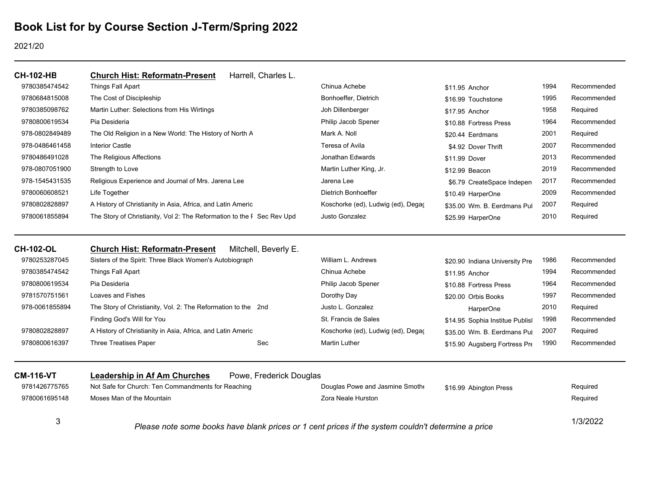#### 2021/20

| <b>CH-102-HB</b> | Harrell, Charles L.<br><b>Church Hist: Reformatn-Present</b>           |                                    |                             |      |             |
|------------------|------------------------------------------------------------------------|------------------------------------|-----------------------------|------|-------------|
| 9780385474542    | Things Fall Apart                                                      | Chinua Achebe                      | \$11.95 Anchor              | 1994 | Recommended |
| 9780684815008    | The Cost of Discipleship                                               | Bonhoeffer, Dietrich               | \$16.99 Touchstone          | 1995 | Recommended |
| 9780385098762    | Martin Luther: Selections from His Wirtings                            | Joh Dillenberger                   | \$17.95 Anchor              | 1958 | Required    |
| 9780800619534    | Pia Desideria                                                          | Philip Jacob Spener                | \$10.88 Fortress Press      | 1964 | Recommended |
| 978-0802849489   | The Old Religion in a New World: The History of North A                | Mark A. Noll                       | \$20.44 Eerdmans            | 2001 | Required    |
| 978-0486461458   | Interior Castle                                                        | Teresa of Avila                    | \$4.92 Dover Thrift         | 2007 | Recommended |
| 9780486491028    | The Religious Affections                                               | Jonathan Edwards                   | \$11.99 Dover               | 2013 | Recommended |
| 978-0807051900   | Strength to Love                                                       | Martin Luther King, Jr.            | \$12.99 Beacon              | 2019 | Recommended |
| 978-1545431535   | Religious Experience and Journal of Mrs. Jarena Lee                    | Jarena Lee                         | \$6.79 CreateSpace Indepen  | 2017 | Recommended |
| 9780060608521    | Life Together                                                          | Dietrich Bonhoeffer                | \$10.49 HarperOne           | 2009 | Recommended |
| 9780802828897    | A History of Christianity in Asia, Africa, and Latin Americ            | Koschorke (ed), Ludwig (ed), Degaç | \$35.00 Wm. B. Eerdmans Pul | 2007 | Required    |
| 9780061855894    | The Story of Christianity, Vol 2: The Reformation to the F Sec Rev Upd | Justo Gonzalez                     | \$25.99 HarperOne           | 2010 | Required    |
| <b>CH-102-OL</b> | Mitchell, Beverly E.<br><b>Church Hist: Reformatn-Present</b>          |                                    |                             |      |             |

| 9780253287045  | Sisters of the Spirit: Three Black Women's Autobiograph       |     | William L. Andrews                 | \$20.90 Indiana University Pre  | 1986 | Recommended |
|----------------|---------------------------------------------------------------|-----|------------------------------------|---------------------------------|------|-------------|
| 9780385474542  | Things Fall Apart                                             |     | Chinua Achebe                      | \$11.95 Anchor                  | 1994 | Recommended |
| 9780800619534  | Pia Desideria                                                 |     | Philip Jacob Spener                | \$10.88 Fortress Press          | 1964 | Recommended |
| 9781570751561  | Loaves and Fishes                                             |     | Dorothy Day                        | \$20.00 Orbis Books             | 1997 | Recommended |
| 978-0061855894 | The Story of Christianity, Vol. 2: The Reformation to the 2nd |     | Justo L. Gonzalez                  | HarperOne                       | 2010 | Required    |
|                | Finding God's Will for You                                    |     | St. Francis de Sales               | \$14.95 Sophia Institue Publisl | 1998 | Recommended |
| 9780802828897  | A History of Christianity in Asia, Africa, and Latin Americ   |     | Koschorke (ed), Ludwig (ed), Degac | \$35.00 Wm. B. Eerdmans Pul     | 2007 | Required    |
| 9780800616397  | <b>Three Treatises Paper</b>                                  | Sec | <b>Martin Luther</b>               | \$15.90 Augsberg Fortress Pre   | 1990 | Recommended |
|                |                                                               |     |                                    |                                 |      |             |

| <b>CM-116-VT</b> | Leadership in Af Am Churches                       | Powe, Frederick Douglas |                                                                                                    |                        |          |
|------------------|----------------------------------------------------|-------------------------|----------------------------------------------------------------------------------------------------|------------------------|----------|
| 9781426775765    | Not Safe for Church: Ten Commandments for Reaching |                         | Douglas Powe and Jasmine Smothe                                                                    | \$16.99 Abington Press | Required |
| 9780061695148    | Moses Man of the Mountain                          |                         | Zora Neale Hurston                                                                                 |                        | Required |
|                  |                                                    |                         | Please note some books have blank prices or 1 cent prices if the system couldn't determine a price |                        | 1/3/2022 |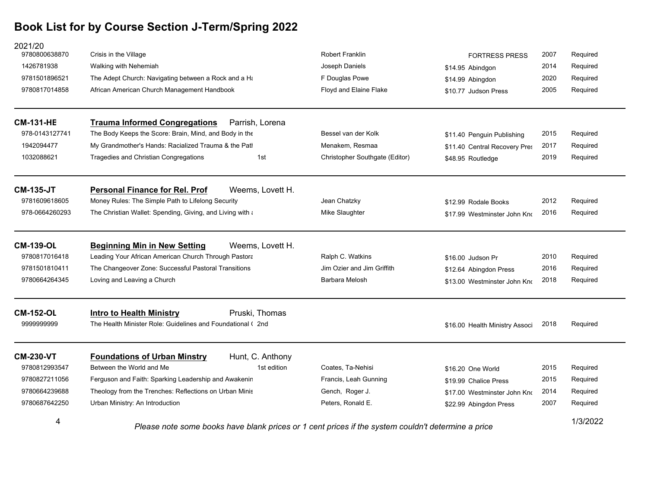| 2021/20<br>9780800638870 | Crisis in the Village                                                                                          | <b>Robert Franklin</b>         | <b>FORTRESS PRESS</b>          | 2007 | Required |
|--------------------------|----------------------------------------------------------------------------------------------------------------|--------------------------------|--------------------------------|------|----------|
| 1426781938               | Walking with Nehemiah                                                                                          | Joseph Daniels                 | \$14.95 Abindgon               | 2014 | Required |
| 9781501896521            | The Adept Church: Navigating between a Rock and a Ha                                                           | F Douglas Powe                 | \$14.99 Abingdon               | 2020 | Required |
| 9780817014858            | African American Church Management Handbook                                                                    | Floyd and Elaine Flake         | \$10.77 Judson Press           | 2005 | Required |
| <b>CM-131-HE</b>         | <b>Trauma Informed Congregations</b><br>Parrish, Lorena                                                        |                                |                                |      |          |
| 978-0143127741           | The Body Keeps the Score: Brain, Mind, and Body in the                                                         | Bessel van der Kolk            | \$11.40 Penguin Publishing     | 2015 | Required |
| 1942094477               | My Grandmother's Hands: Racialized Trauma & the Patl                                                           | Menakem, Resmaa                | \$11.40 Central Recovery Pres  | 2017 | Required |
| 1032088621               | Tragedies and Christian Congregations<br>1st                                                                   | Christopher Southgate (Editor) | \$48.95 Routledge              | 2019 | Required |
| <b>CM-135-JT</b>         | Weems, Lovett H.<br><b>Personal Finance for Rel. Prof</b>                                                      |                                |                                |      |          |
| 9781609618605            | Money Rules: The Simple Path to Lifelong Security                                                              | Jean Chatzky                   | \$12.99 Rodale Books           | 2012 | Required |
| 978-0664260293           | The Christian Wallet: Spending, Giving, and Living with a                                                      | Mike Slaughter                 | \$17.99 Westminster John Kno   | 2016 | Required |
| <b>CM-139-OL</b>         | <b>Beginning Min in New Setting</b><br>Weems. Lovett H.                                                        |                                |                                |      |          |
| 9780817016418            | Leading Your African American Church Through Pastora                                                           | Ralph C. Watkins               | \$16.00 Judson Pr              | 2010 | Required |
| 9781501810411            | The Changeover Zone: Successful Pastoral Transitions                                                           | Jim Ozier and Jim Griffith     | \$12.64 Abingdon Press         | 2016 | Required |
| 9780664264345            | Loving and Leaving a Church                                                                                    | Barbara Melosh                 | \$13.00 Westminster John Kno   | 2018 | Required |
| <b>CM-152-OL</b>         | Pruski, Thomas<br><b>Intro to Health Ministry</b>                                                              |                                |                                |      |          |
| 9999999999               | The Health Minister Role: Guidelines and Foundational (2nd)                                                    |                                | \$16.00 Health Ministry Associ | 2018 | Required |
| <b>CM-230-VT</b>         | <b>Foundations of Urban Minstry</b><br>Hunt, C. Anthony                                                        |                                |                                |      |          |
| 9780812993547            | Between the World and Me<br>1st edition                                                                        | Coates, Ta-Nehisi              | \$16.20 One World              | 2015 | Required |
| 9780827211056            | Ferguson and Faith: Sparking Leadership and Awakenin                                                           | Francis, Leah Gunning          | \$19.99 Chalice Press          | 2015 | Required |
| 9780664239688            | Theology from the Trenches: Reflections on Urban Minis                                                         | Gench, Roger J.                | \$17.00 Westminster John Kno   | 2014 | Required |
| 9780687642250            | Urban Ministry: An Introduction                                                                                | Peters, Ronald E.              | \$22.99 Abingdon Press         | 2007 | Required |
| 4                        | 1/3/2022<br>Please note some books have blank prices or 1 cent prices if the system couldn't determine a price |                                |                                |      |          |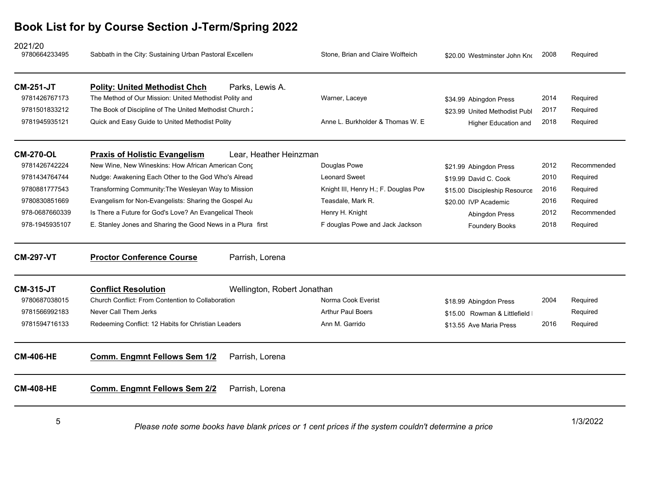| 2021/20<br>9780664233495 | Sabbath in the City: Sustaining Urban Pastoral Excellen     | Stone, Brian and Claire Wolfteich                                                                  | \$20.00 Westminster John Kno   | 2008 | Required    |
|--------------------------|-------------------------------------------------------------|----------------------------------------------------------------------------------------------------|--------------------------------|------|-------------|
| <b>CM-251-JT</b>         | <b>Polity: United Methodist Chch</b>                        | Parks, Lewis A.                                                                                    |                                |      |             |
| 9781426767173            | The Method of Our Mission: United Methodist Polity and      | Warner, Laceye                                                                                     | \$34.99 Abingdon Press         | 2014 | Required    |
| 9781501833212            | The Book of Discipline of The United Methodist Church:      |                                                                                                    | \$23.99 United Methodist Publ  | 2017 | Required    |
| 9781945935121            | Quick and Easy Guide to United Methodist Polity             | Anne L. Burkholder & Thomas W. E.                                                                  | <b>Higher Education and</b>    | 2018 | Required    |
| <b>CM-270-OL</b>         | <b>Praxis of Holistic Evangelism</b>                        | Lear, Heather Heinzman                                                                             |                                |      |             |
| 9781426742224            | New Wine, New Wineskins: How African American Cong          | Douglas Powe                                                                                       | \$21.99 Abingdon Press         | 2012 | Recommended |
| 9781434764744            | Nudge: Awakening Each Other to the God Who's Alread         | <b>Leonard Sweet</b>                                                                               | \$19.99 David C. Cook          | 2010 | Required    |
| 9780881777543            | Transforming Community: The Wesleyan Way to Mission         | Knight III, Henry H.; F. Douglas Pow                                                               | \$15.00 Discipleship Resource  | 2016 | Required    |
| 9780830851669            | Evangelism for Non-Evangelists: Sharing the Gospel Au       | Teasdale, Mark R.                                                                                  | \$20.00 IVP Academic           | 2016 | Required    |
| 978-0687660339           | Is There a Future for God's Love? An Evangelical Theok      | Henry H. Knight                                                                                    | <b>Abingdon Press</b>          | 2012 | Recommended |
| 978-1945935107           | E. Stanley Jones and Sharing the Good News in a Plura first | F douglas Powe and Jack Jackson                                                                    | <b>Foundery Books</b>          | 2018 | Required    |
| <b>CM-297-VT</b>         | <b>Proctor Conference Course</b>                            | Parrish, Lorena                                                                                    |                                |      |             |
| <b>CM-315-JT</b>         | <b>Conflict Resolution</b>                                  | Wellington, Robert Jonathan                                                                        |                                |      |             |
| 9780687038015            | Church Conflict: From Contention to Collaboration           | Norma Cook Everist                                                                                 | \$18.99 Abingdon Press         | 2004 | Required    |
| 9781566992183            | Never Call Them Jerks                                       | <b>Arthur Paul Boers</b>                                                                           | \$15.00 Rowman & Littlefield I |      | Required    |
| 9781594716133            | Redeeming Conflict: 12 Habits for Christian Leaders         | Ann M. Garrido                                                                                     | \$13.55 Ave Maria Press        | 2016 | Required    |
| <b>CM-406-HE</b>         | Comm. Engmnt Fellows Sem 1/2                                | Parrish, Lorena                                                                                    |                                |      |             |
| <b>CM-408-HE</b>         | <b>Comm. Engmnt Fellows Sem 2/2</b>                         | Parrish, Lorena                                                                                    |                                |      |             |
| 5                        |                                                             | Please note some books have blank prices or 1 cent prices if the system couldn't determine a price |                                |      | 1/3/2022    |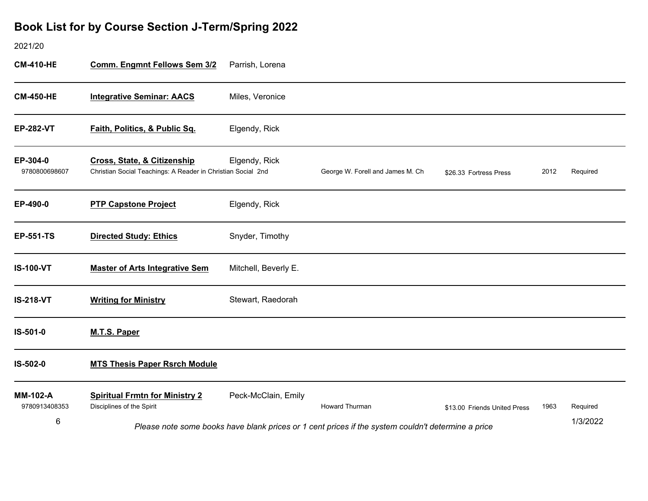### 2021/20

| <b>CM-410-HE</b>                 | <b>Comm. Engmnt Fellows Sem 3/2</b>                                                                    | Parrish, Lorena      |                                                                                                    |                              |      |          |
|----------------------------------|--------------------------------------------------------------------------------------------------------|----------------------|----------------------------------------------------------------------------------------------------|------------------------------|------|----------|
| <b>CM-450-HE</b>                 | <b>Integrative Seminar: AACS</b>                                                                       | Miles, Veronice      |                                                                                                    |                              |      |          |
| <b>EP-282-VT</b>                 | Faith, Politics, & Public Sq.                                                                          | Elgendy, Rick        |                                                                                                    |                              |      |          |
| EP-304-0<br>9780800698607        | <b>Cross, State, &amp; Citizenship</b><br>Christian Social Teachings: A Reader in Christian Social 2nd | Elgendy, Rick        | George W. Forell and James M. Ch                                                                   | \$26.33 Fortress Press       | 2012 | Required |
| EP-490-0                         | <b>PTP Capstone Project</b>                                                                            | Elgendy, Rick        |                                                                                                    |                              |      |          |
| <b>EP-551-TS</b>                 | <b>Directed Study: Ethics</b>                                                                          | Snyder, Timothy      |                                                                                                    |                              |      |          |
| <b>IS-100-VT</b>                 | <b>Master of Arts Integrative Sem</b>                                                                  | Mitchell, Beverly E. |                                                                                                    |                              |      |          |
| <b>IS-218-VT</b>                 | <b>Writing for Ministry</b>                                                                            | Stewart, Raedorah    |                                                                                                    |                              |      |          |
| IS-501-0                         | <b>M.T.S. Paper</b>                                                                                    |                      |                                                                                                    |                              |      |          |
| IS-502-0                         | <b>MTS Thesis Paper Rsrch Module</b>                                                                   |                      |                                                                                                    |                              |      |          |
| <b>MM-102-A</b><br>9780913408353 | <b>Spiritual Frmtn for Ministry 2</b><br>Disciplines of the Spirit                                     | Peck-McClain, Emily  | <b>Howard Thurman</b>                                                                              | \$13.00 Friends United Press | 1963 | Required |
| 6                                |                                                                                                        |                      | Please note some books have blank prices or 1 cent prices if the system couldn't determine a price |                              |      | 1/3/2022 |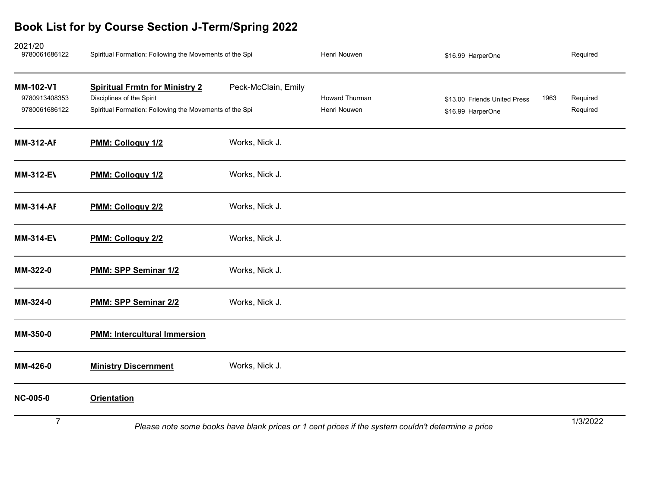| 2021/20<br>9780061686122                           | Spiritual Formation: Following the Movements of the Spi                                                                       |                     | Henri Nouwen                                                                                       | \$16.99 HarperOne                                 |      | Required             |
|----------------------------------------------------|-------------------------------------------------------------------------------------------------------------------------------|---------------------|----------------------------------------------------------------------------------------------------|---------------------------------------------------|------|----------------------|
| <b>MM-102-VT</b><br>9780913408353<br>9780061686122 | <b>Spiritual Frmtn for Ministry 2</b><br>Disciplines of the Spirit<br>Spiritual Formation: Following the Movements of the Spi | Peck-McClain, Emily | Howard Thurman<br>Henri Nouwen                                                                     | \$13.00 Friends United Press<br>\$16.99 HarperOne | 1963 | Required<br>Required |
| <b>MM-312-AF</b>                                   | PMM: Colloquy 1/2                                                                                                             | Works, Nick J.      |                                                                                                    |                                                   |      |                      |
| <b>MM-312-EV</b>                                   | PMM: Colloquy 1/2                                                                                                             | Works, Nick J.      |                                                                                                    |                                                   |      |                      |
| <b>MM-314-AF</b>                                   | PMM: Colloquy 2/2                                                                                                             | Works, Nick J.      |                                                                                                    |                                                   |      |                      |
| <b>MM-314-EV</b>                                   | PMM: Colloquy 2/2                                                                                                             | Works, Nick J.      |                                                                                                    |                                                   |      |                      |
| MM-322-0                                           | PMM: SPP Seminar 1/2                                                                                                          | Works, Nick J.      |                                                                                                    |                                                   |      |                      |
| MM-324-0                                           | PMM: SPP Seminar 2/2                                                                                                          | Works, Nick J.      |                                                                                                    |                                                   |      |                      |
| MM-350-0                                           | <b>PMM: Intercultural Immersion</b>                                                                                           |                     |                                                                                                    |                                                   |      |                      |
| MM-426-0                                           | <b>Ministry Discernment</b>                                                                                                   | Works, Nick J.      |                                                                                                    |                                                   |      |                      |
| <b>NC-005-0</b>                                    | <b>Orientation</b>                                                                                                            |                     |                                                                                                    |                                                   |      |                      |
| $\overline{7}$                                     |                                                                                                                               |                     | Please note some books have blank prices or 1 cent prices if the system couldn't determine a price |                                                   |      | 1/3/2022             |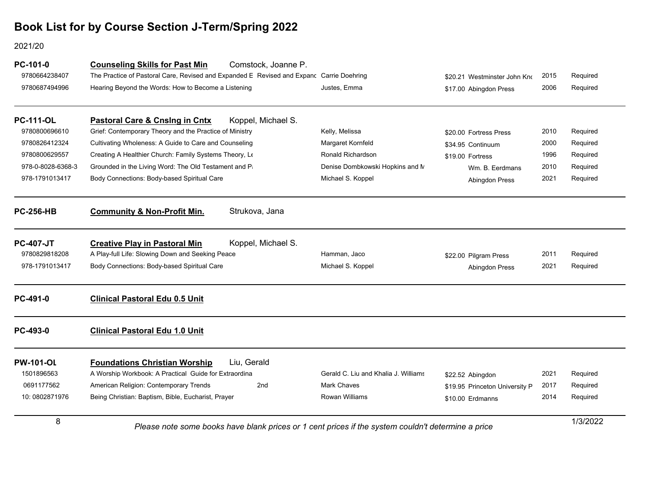### 2021/20

| PC-101-0<br>9780664238407<br>9780687494996 | Comstock, Joanne P.<br><b>Counseling Skills for Past Min</b><br>The Practice of Pastoral Care, Revised and Expanded E Revised and Expanc Carrie Doehring<br>Hearing Beyond the Words: How to Become a Listening | Justes, Emma                         | \$20.21 Westminster John Kno<br>\$17.00 Abingdon Press | 2015<br>2006 | Required<br>Required |
|--------------------------------------------|-----------------------------------------------------------------------------------------------------------------------------------------------------------------------------------------------------------------|--------------------------------------|--------------------------------------------------------|--------------|----------------------|
| <b>PC-111-OL</b>                           | Koppel, Michael S.<br>Pastoral Care & Cnsing in Cntx                                                                                                                                                            |                                      |                                                        |              |                      |
| 9780800696610                              | Grief: Contemporary Theory and the Practice of Ministry                                                                                                                                                         | Kelly, Melissa                       | \$20.00 Fortress Press                                 | 2010         | Required             |
| 9780826412324                              | Cultivating Wholeness: A Guide to Care and Counseling                                                                                                                                                           | Margaret Kornfeld                    | \$34.95 Continuum                                      | 2000         | Required             |
| 9780800629557                              | Creating A Healthier Church: Family Systems Theory, Le                                                                                                                                                          | Ronald Richardson                    | \$19.00 Fortress                                       | 1996         | Required             |
| 978-0-8028-6368-3                          | Grounded in the Living Word: The Old Testament and Pa                                                                                                                                                           | Denise Dombkowski Hopkins and N      | Wm. B. Eerdmans                                        | 2010         | Required             |
| 978-1791013417                             | Body Connections: Body-based Spiritual Care                                                                                                                                                                     | Michael S. Koppel                    | <b>Abingdon Press</b>                                  | 2021         | Required             |
| <b>PC-256-HB</b>                           | <b>Community &amp; Non-Profit Min.</b><br>Strukova, Jana                                                                                                                                                        |                                      |                                                        |              |                      |
| <b>PC-407-JT</b>                           | Koppel, Michael S.<br><b>Creative Play in Pastoral Min</b>                                                                                                                                                      |                                      |                                                        |              |                      |
| 9780829818208                              | A Play-full Life: Slowing Down and Seeking Peace                                                                                                                                                                | Hamman, Jaco                         | \$22.00 Pilgram Press                                  | 2011         | Required             |
| 978-1791013417                             | Body Connections: Body-based Spiritual Care                                                                                                                                                                     | Michael S. Koppel                    | Abingdon Press                                         | 2021         | Required             |
| PC-491-0                                   | <b>Clinical Pastoral Edu 0.5 Unit</b>                                                                                                                                                                           |                                      |                                                        |              |                      |
| PC-493-0                                   | <b>Clinical Pastoral Edu 1.0 Unit</b>                                                                                                                                                                           |                                      |                                                        |              |                      |
| <b>PW-101-OL</b>                           | Liu, Gerald<br><b>Foundations Christian Worship</b>                                                                                                                                                             |                                      |                                                        |              |                      |
| 1501896563                                 | A Worship Workbook: A Practical Guide for Extraordina                                                                                                                                                           | Gerald C. Liu and Khalia J. Williams | \$22.52 Abingdon                                       | 2021         | Required             |
| 0691177562                                 | American Religion: Contemporary Trends<br>2 <sub>nd</sub>                                                                                                                                                       | <b>Mark Chaves</b>                   | \$19.95 Princeton University P                         | 2017         | Required             |
| 10:0802871976                              | Being Christian: Baptism, Bible, Eucharist, Prayer                                                                                                                                                              | <b>Rowan Williams</b>                | \$10.00 Erdmanns                                       | 2014         | Required             |
| 8                                          | Please note some books have blank prices or 1 cent prices if the system couldn't determine a price                                                                                                              |                                      |                                                        |              | 1/3/2022             |

1/3/2022 *Please note some books have blank prices or 1 cent prices if the system couldn't determine a price*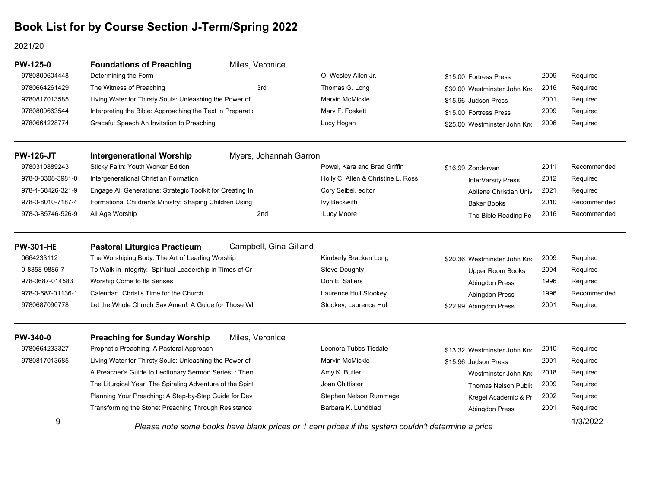#### 2021/20

| <b>PW-125-0</b>   | <b>Foundations of Preaching</b>                             | Miles, Veronice        |                                                                                                                                                                                                                                                                  |                              |      |             |
|-------------------|-------------------------------------------------------------|------------------------|------------------------------------------------------------------------------------------------------------------------------------------------------------------------------------------------------------------------------------------------------------------|------------------------------|------|-------------|
| 9780800604448     | Determining the Form                                        |                        | O. Wesley Allen Jr.                                                                                                                                                                                                                                              | \$15.00 Fortress Press       | 2009 | Required    |
| 9780664261429     | The Witness of Preaching                                    | 3rd                    | Thomas G. Long                                                                                                                                                                                                                                                   | \$30.00 Westminster John Kno | 2016 | Required    |
| 9780817013585     | Living Water for Thirsty Souls: Unleashing the Power of     |                        | <b>Marvin McMickle</b>                                                                                                                                                                                                                                           | \$15.96 Judson Press         | 2001 | Required    |
| 9780800663544     | Interpreting the Bible: Approaching the Text in Preparation |                        | Mary F. Foskett                                                                                                                                                                                                                                                  | \$15.00 Fortress Press       | 2009 | Required    |
| 9780664228774     | Graceful Speech An Invitation to Preaching                  |                        | Lucy Hogan                                                                                                                                                                                                                                                       | \$25.00 Westminster John Kno | 2006 | Required    |
| <b>PW-126-JT</b>  | <b>Intergenerational Worship</b>                            | Myers, Johannah Garron |                                                                                                                                                                                                                                                                  |                              |      |             |
| 9780310889243     | Sticky Faith: Youth Worker Edition                          |                        | Powel, Kara and Brad Griffin                                                                                                                                                                                                                                     | \$16.99 Zondervan            | 2011 | Recommended |
| 978-0-8308-3981-0 | Intergenerational Christian Formation                       |                        | Holly C. Allen & Christine L. Ross                                                                                                                                                                                                                               | InterVarsity Press           | 2012 | Required    |
| 978-1-68426-321-9 | Engage All Generations: Strategic Toolkit for Creating In   |                        | Cory Seibel, editor                                                                                                                                                                                                                                              | Abilene Christian Univ       | 2021 | Required    |
| 978-0-8010-7187-4 | Formational Children's Ministry: Shaping Children Using     |                        | <b>Ivy Beckwith</b>                                                                                                                                                                                                                                              | <b>Baker Books</b>           | 2010 | Recommended |
| 978-0-85746-526-9 | All Age Worship                                             | 2nd                    | Lucy Moore                                                                                                                                                                                                                                                       | The Bible Reading Fel        | 2016 | Recommended |
| <b>PW-301-HE</b>  | <b>Pastoral Liturgics Practicum</b>                         | Campbell, Gina Gilland |                                                                                                                                                                                                                                                                  |                              |      |             |
| 0664233112        | The Worshiping Body: The Art of Leading Worship             |                        | Kimberly Bracken Long                                                                                                                                                                                                                                            | \$20.36 Westminster John Kno | 2009 | Required    |
| 0-8358-9885-7     | To Walk in Integrity: Spiritual Leadership in Times of Cr   |                        | <b>Steve Doughty</b>                                                                                                                                                                                                                                             | Upper Room Books             | 2004 | Required    |
| 978-0687-014583   | Worship Come to Its Senses                                  |                        | Don E. Saliers                                                                                                                                                                                                                                                   | Abingdon Press               | 1996 | Required    |
| 978-0-687-01136-1 | Calendar: Christ's Time for the Church                      |                        | Laurence Hull Stookey                                                                                                                                                                                                                                            | Abingdon Press               | 1996 | Recommended |
| 9780687090778     | Let the Whole Church Say Amen!: A Guide for Those WI        |                        | Stookey, Laurence Hull                                                                                                                                                                                                                                           | \$22.99 Abingdon Press       | 2001 | Required    |
| <b>PW-340-0</b>   | <b>Preaching for Sunday Worship</b>                         | Miles, Veronice        |                                                                                                                                                                                                                                                                  |                              |      |             |
| 9780664233327     | Prophetic Preaching: A Pastoral Approach                    |                        | Leonora Tubbs Tisdale                                                                                                                                                                                                                                            | \$13.32 Westminster John Kno | 2010 | Required    |
| 9780817013585     | Living Water for Thirsty Souls: Unleashing the Power of     |                        | Marvin McMickle                                                                                                                                                                                                                                                  | \$15.96 Judson Press         | 2001 | Required    |
|                   | A Preacher's Guide to Lectionary Sermon Series: : Then      |                        | Amy K. Butler                                                                                                                                                                                                                                                    | Westminster John Kno         | 2018 | Required    |
|                   | The Liturgical Year: The Spiraling Adventure of the Spirit  |                        | Joan Chittister                                                                                                                                                                                                                                                  | <b>Thomas Nelson Publis</b>  | 2009 | Required    |
|                   | Planning Your Preaching: A Step-by-Step Guide for Dev       |                        | Stephen Nelson Rummage                                                                                                                                                                                                                                           | Kregel Academic & Pr         | 2002 | Required    |
|                   | Transforming the Stone: Preaching Through Resistance        |                        | Barbara K. Lundblad                                                                                                                                                                                                                                              | Abingdon Press               | 2001 | Required    |
| 9                 |                                                             |                        | $\cdot$ $\cdot$ $\cdot$ $\cdot$<br>. The contract of the contract of the contract of the contract of the contract of the contract of the contract of the contract of the contract of the contract of the contract of the contract of the contract of the contrac |                              |      | 1/3/2022    |

Please note some books have blank prices or 1 cent prices if the system couldn't determine a price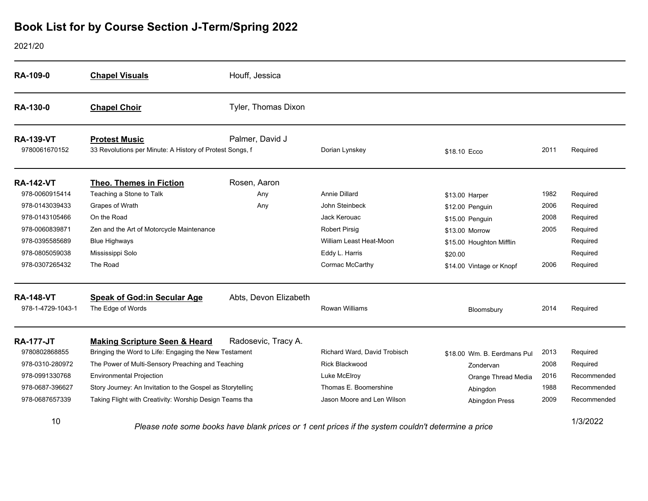2021/20

| RA-109-0                          | <b>Chapel Visuals</b>                                                            | Houff, Jessica        |                                      |                             |      |             |
|-----------------------------------|----------------------------------------------------------------------------------|-----------------------|--------------------------------------|-----------------------------|------|-------------|
| RA-130-0                          | <b>Chapel Choir</b>                                                              | Tyler, Thomas Dixon   |                                      |                             |      |             |
| <b>RA-139-VT</b><br>9780061670152 | <b>Protest Music</b><br>33 Revolutions per Minute: A History of Protest Songs, f | Palmer, David J       | Dorian Lynskey                       | \$18.10 Ecco                | 2011 | Required    |
| <b>RA-142-VT</b>                  | <b>Theo. Themes in Fiction</b>                                                   | Rosen, Aaron          |                                      |                             |      |             |
| 978-0060915414                    | Teaching a Stone to Talk                                                         | Any                   | <b>Annie Dillard</b>                 | \$13.00 Harper              | 1982 | Required    |
| 978-0143039433                    | Grapes of Wrath                                                                  | Any                   | John Steinbeck                       | \$12.00 Penguin             | 2006 | Required    |
| 978-0143105466                    | On the Road                                                                      |                       | Jack Kerouac                         | \$15.00 Penguin             | 2008 | Required    |
| 978-0060839871                    | Zen and the Art of Motorcycle Maintenance                                        |                       | <b>Robert Pirsig</b>                 | \$13.00 Morrow              | 2005 | Required    |
| 978-0395585689                    | <b>Blue Highways</b>                                                             |                       | William Least Heat-Moon              | \$15.00 Houghton Mifflin    |      | Required    |
| 978-0805059038                    | Mississippi Solo                                                                 |                       | Eddy L. Harris                       | \$20.00                     |      | Required    |
| 978-0307265432                    | The Road                                                                         |                       | Cormac McCarthy                      | \$14.00 Vintage or Knopf    | 2006 | Required    |
| <b>RA-148-VT</b>                  | <b>Speak of God:in Secular Age</b>                                               | Abts, Devon Elizabeth |                                      |                             |      |             |
| 978-1-4729-1043-1                 | The Edge of Words                                                                |                       | <b>Rowan Williams</b>                | Bloomsbury                  | 2014 | Required    |
| <b>RA-177-JT</b>                  | <b>Making Scripture Seen &amp; Heard</b>                                         | Radosevic, Tracy A.   |                                      |                             |      |             |
| 9780802868855                     | Bringing the Word to Life: Engaging the New Testament                            |                       | Richard Ward, David Trobisch         | \$18.00 Wm. B. Eerdmans Pul | 2013 | Required    |
| 978-0310-280972                   | The Power of Multi-Sensory Preaching and Teaching                                |                       | <b>Rick Blackwood</b>                | Zondervan                   | 2008 | Required    |
| 978-0991330768                    | <b>Environmental Projection</b>                                                  |                       | Luke McElroy                         | Orange Thread Media         | 2016 | Recommended |
| 978-0687-396627                   | Story Journey: An Invitation to the Gospel as Storytelling                       |                       | Thomas E. Boomershine                | Abingdon                    | 1988 | Recommended |
| 978-0687657339                    | Taking Flight with Creativity: Worship Design Teams tha                          |                       | Jason Moore and Len Wilson           | Abingdon Press              | 2009 | Recommended |
| 10                                | Dissas pate same basic bouse blank put                                           |                       | if the sustain several distributions |                             |      | 1/3/2022    |

1/3/2022 *Please note some books have blank prices or 1 cent prices if the system couldn't determine a price*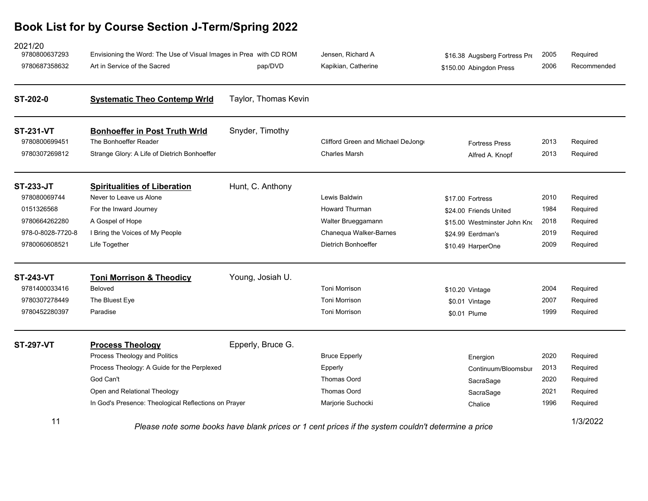| 2021/20<br>9780800637293<br>9780687358632                                                             | Envisioning the Word: The Use of Visual Images in Prea with CD ROM<br>Art in Service of the Sacred                                                                                                           | pap/DVD              | Jensen, Richard A<br>Kapikian, Catherine                                                                      | \$16.38 Augsberg Fortress Pre<br>\$150.00 Abingdon Press                                                             | 2005<br>2006                         | Required<br>Recommended                                  |
|-------------------------------------------------------------------------------------------------------|--------------------------------------------------------------------------------------------------------------------------------------------------------------------------------------------------------------|----------------------|---------------------------------------------------------------------------------------------------------------|----------------------------------------------------------------------------------------------------------------------|--------------------------------------|----------------------------------------------------------|
| ST-202-0                                                                                              | <b>Systematic Theo Contemp Wrld</b>                                                                                                                                                                          | Taylor, Thomas Kevin |                                                                                                               |                                                                                                                      |                                      |                                                          |
| <b>ST-231-VT</b><br>9780800699451<br>9780307269812                                                    | <b>Bonhoeffer in Post Truth Wrld</b><br>The Bonhoeffer Reader<br>Strange Glory: A Life of Dietrich Bonhoeffer                                                                                                | Snyder, Timothy      | Clifford Green and Michael DeJong<br><b>Charles Marsh</b>                                                     | <b>Fortress Press</b><br>Alfred A. Knopf                                                                             | 2013<br>2013                         | Required<br>Required                                     |
| <b>ST-233-JT</b><br>978080069744<br>0151326568<br>9780664262280<br>978-0-8028-7720-8<br>9780060608521 | <b>Spiritualities of Liberation</b><br>Never to Leave us Alone<br>For the Inward Journey<br>A Gospel of Hope<br>I Bring the Voices of My People<br>Life Together                                             | Hunt, C. Anthony     | Lewis Baldwin<br><b>Howard Thurman</b><br>Walter Brueggamann<br>Chanequa Walker-Barnes<br>Dietrich Bonhoeffer | \$17.00 Fortress<br>\$24.00 Friends United<br>\$15.00 Westminster John Kno<br>\$24.99 Eerdman's<br>\$10.49 HarperOne | 2010<br>1984<br>2018<br>2019<br>2009 | Required<br>Required<br>Required<br>Required<br>Required |
| <b>ST-243-VT</b><br>9781400033416<br>9780307278449<br>9780452280397                                   | <b>Toni Morrison &amp; Theodicy</b><br>Beloved<br>The Bluest Eye<br>Paradise                                                                                                                                 | Young, Josiah U.     | Toni Morrison<br><b>Toni Morrison</b><br>Toni Morrison                                                        | \$10.20 Vintage<br>\$0.01 Vintage<br>\$0.01 Plume                                                                    | 2004<br>2007<br>1999                 | Required<br>Required<br>Required                         |
| <b>ST-297-VT</b>                                                                                      | <b>Process Theology</b><br>Process Theology and Politics<br>Process Theology: A Guide for the Perplexed<br>God Can't<br>Open and Relational Theology<br>In God's Presence: Theological Reflections on Prayer | Epperly, Bruce G.    | <b>Bruce Epperly</b><br>Epperly<br>Thomas Oord<br>Thomas Oord<br>Marjorie Suchocki                            | Energion<br>Continuum/Bloomsbur<br>SacraSage<br>SacraSage<br>Chalice                                                 | 2020<br>2013<br>2020<br>2021<br>1996 | Required<br>Required<br>Required<br>Required<br>Required |
| 11                                                                                                    | Please note some books have blank prices or 1 cent prices if the system couldn't determine a price                                                                                                           |                      |                                                                                                               |                                                                                                                      |                                      | 1/3/2022                                                 |